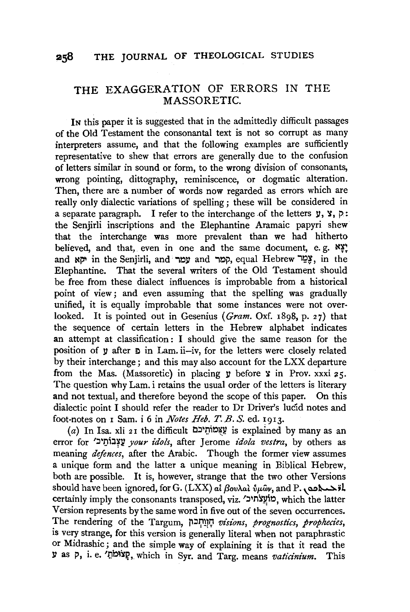## THE EXAGGERATION OF ERRORS IN THE MASSORETIC.

IN this paper it is suggested that in the admittedly difficult passages of the Old Testament the consonantal text is not so corrupt as many interpreters assume, and that the following examples are sufficiently representative to shew that errors are generally due to the confusion of letters similar in sound or form, to the wrong division of consonants, wrong pointing, dittography, reminiscence, or dogmatic alteration. Then, there are a number of words now regarded as errors which are really only dialectic variations of spelling; these will be considered in a separate paragraph. I refer to the interchange of the letters  $y, y, p$ : the Senjirli inscriptions and the Elephantine Aramaic papyri shew that the interchange was more prevalent than we had hitherto believed, and that, even in one and the same document, e.g.  $\mathbb{X}^{\times}$ : and ישמר in the Senjirli, and עמר and ,p, equal Hebrew , גַּפֵּוֹ, in the Elephantine. That the several writers of the Old Testament should be free from these dialect influences is improbable from a historical point of view; and even assuming that the spelling was gradually unified, it is equally improbable that some instances were not overlooked. It is pointed out in Gesenius (Gram. Oxf. 1898, p. 27) that the sequence of certain letters in the Hebrew alphabet indicates an attempt at classification: I should give the same reason for the position of  $\nu$  after  $\nu$  in Lam. ii-iv, for the letters were closely related by their interchange ; and this may also account for the LXX departure from the Mas. (Massoretic) in placing  $y$  before  $y$  in Prov. xxxi 25. The question why Lam. i retains the usual order of the letters is literary and not textual, and therefore beyond the scope of this paper. On this dialectic point I should refer the reader to Dr Driver's lucid notes and foot-notes on I Sam. i 6 in *Notes Heb. T. B. S.* ed. I9I3.

(a) In Isa. xli 21 the difficult עֲצְמוֹחֵיכּם is explained by many as an error for 'עַצְבוֹתֵיכ*ו your idols*, after Jerome *idola vestra*, by others as meaning *defences,* after the Arabic. Though the former view assumes a unique form and the latter a unique meaning in Biblical Hebrew, both are possible. It is, however, strange that the two other Versions should have been ignored, for G. (LXX) *at BovAal*  $\hat{v} \mu \hat{\omega} \nu$ , and P.  $\Delta \lambda$ il certainly imply the consonants transposed, viz. 'יוב' pip, which the latter Version represents by the same word in five out of the seven occurrences. The rendering of the Targum, )'I:JJ;1l10 *visions, prognostics, prophecies,*  is very strange, for this version is generally literal when not paraphrastic or Midrashic; and the simple way of explaining it is that it read the y as p, i. e. 'שוֹמֹהַ, which in Syr. and Targ. means *vaticinium*. This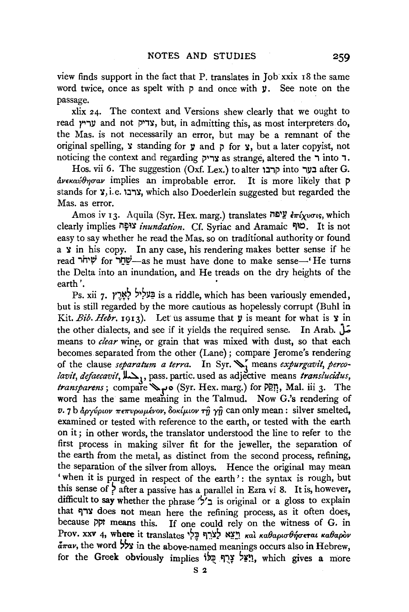view finds support in the fact that P. translates in Job xxix 18 the same word twice, once as spelt with  $\bar{p}$  and once with **y**. See note on the passage.

xlix 24. The context and Versions shew clearly that we ought to read *yי*דיק and not צדיק, but, in admitting this, as most interpreters do, the Mas. is not necessarily an error, but may be a remnant of the original spelling,  $\mathbf y$  standing for  $\mathbf y$  and  $\mathbf p$  for  $\mathbf y$ , but a later copyist, not noticing the context and regarding  $y \rightarrow$  as strange, altered the  $\rightarrow$  into  $\rightarrow$ .

Hos. vii 6. The suggestion (Oxf. Lex.) to alter from the use  $\pi$ G.  $\frac{\partial \psi}{\partial x}$  implies an improbable error. It is more likely that p stands for  $\chi$ , i.e. צרבו, which also Doederlein suggested but regarded the Mas. as error.

Amos iv 13. Aquila (Syr. Hex. marg.) translates Weslet  $\frac{d}{dx}i$ ישה  $\frac{d}{dx}i$ יסיג, which clearly implies n~~lr *inundation.* Cf. Syriac and Aramaic ~~~- It is not easy to say whether he read the Mas. so on traditional authority or found  $a \times in$  his copy. In any case, his rendering makes better sense if he read שְׁיחֹר for ig in integral have done to make sense—'He turns the Delta into an inundation, and He treads on the dry heights of the earth'.

Ps. xii 7.  $\gamma$ אָרֶץ  $\pm$  is a riddle, which has been variously emended, but is still regarded by the more cautious as hopelessly corrupt (Buhl in Kit. *Bib. Hebr.* 1913). Let us assume that  $y$  is meant for what is  $y$  in the other dialects, and see if it yields the required sense. In Arab. J.; means to *clear* wine, or grain that was mixed with dust, so that each becomes separated from the other (Lane); compare Jerome's rendering of the clause *separatum a terra*. In Syr. S, means *expurgavit, percolavit, defaecavit,* Jl~J' pass. partic. used as adjective means *translucidus, transparens*; compare "> o (Syr. Hex. marg.) for  $\overline{P}$ ?", Mal. iii 3. The word has the same meaning in the Talmud. Now G.'s rendering of  $v.$  7 b  $\dot{a}$ *pyvptov*  $\pi \epsilon \pi v \rho \omega \mu \epsilon v \nu$ *, δοκίμιον τη γη* can only mean : silver smelted, examined or tested with reference to the earth, or tested with the earth on it; in other words, the translator understood the line to refer to the first process in making silver fit for the jeweller, the separation of the earth from the metal, as distinct from the second process, refining, the separation of the silver from alloys. Hence the original may mean ' when it is purged in respect of the earth' : the syntax is rough, but this sense of ? after a passive has a parallel in Ezra vi 8. It is, however, difficult to say whether the phrase ' $\sqrt{2}$ ' is original or a gloss to explain that ארף does not mean here the refining process, as it often does, because  $\tilde{p}$  means this. If one could rely on the witness of G. in Prov. xxv 4, where it translates וְצֵא לַצֹרֵף בְּלִי  $\frac{d}{dx}$ av, the word  $\frac{1}{2}$  in the above-named meanings occurs also in Hebrew, for the Greek obviously implies ire creek obviously implies iyes a more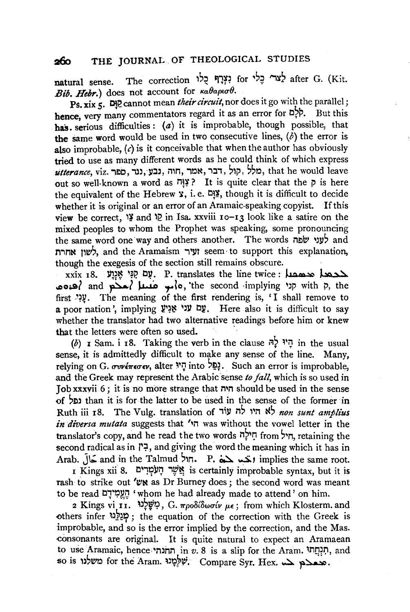## 260 THE JOURNAL OF THEOLOGICAL STUDIES

natural sense. The correction וַצְרָף כָלי for לָצה after G. (Kit. Bib. Hebr.) does not account for *Kaθapto 0.* 

Ps. xix 5. **Dip** cannot mean *their circuit*, nor does it go with the parallel: hence, very many commentators regard it as an error for  $D2P$ . But this has serious difficulties:  $(a)$  it is improbable, though possible, that the same word would be used in two consecutive lines,  $(b)$  the error is also improbable,  $(c)$  is it conceivable that when the author has obviously tried to use as many different words as he could think of which express *utterance,* viz. iEIO, ,ll, Y:ll, nm, iO~, i:li, ~li', ~~0, that he would leave out so well-known a word as  $\overrightarrow{P}$ ? It is quite clear that the p is here the equivalent of the Hebrew  $\hat{x}$ , i.e.  $\frac{d\hat{x}}{dt}$ , though it is difficult to decide whether it is original or an error of an Aramaic-speaking copyist. If this view be correct, '*\** and '<sup>2</sup> in Isa. xxviii 10-13 look like a satire on the mixed peoples to whom the Prophet was speaking, some pronouncing the same word one way and others another. The words inever  $\frac{1}{2}$  and לשון אחרת; and the Aramaism ועיר seem to support this explanation, though the exegesis of the section still remains obscure.

 $x$ xxix 18. עם קְגַּי אֲנֵי P. translates the line twice : محمد المحمد العدمي  $\frac{1}{2}$ o; and محمد) and  $\frac{1}{2}$ مو معدد) o, 'the second implying  $\gamma$  with p, the first .y. The meaning of the first rendering is, 'I shall remove to  $\mu$ poor nation', implying  $\mathbf{y}$ ם עני אַנְיש בע $\mu$ . Here also it is difficult to say whether the translator had two alternative readings before him or knew that the letters were often so used.

(b) I Sam. i 18. Taking the verb in the clause  $\bar{r}$   $\bar{r}$  in the usual sense, it is admittedly difficult to make any sense of the line. Many, relying on G. *συνέπεσεν*, alter יְהָי into <sup>5</sup>ָםָל, Such an error is improbable, and the Greek may represent the Arabic sense *to fall,* which is so used in Job xxxvii 6 ; it is no more strange that n•n should be used in the sense of ~Ell than it is for the latter to be used in the sense of the former· in Ruth iii 18. The Vulg. translation of i~ll n~ l 1 i1 t6 *non sunt amplius in diversa mutata* suggests that 'm was without the vowel letter in the translator's copy, and he read the two words חילה from . second radical as in  $\uparrow$ , and giving the word the meaning which it has in Arab. July and in the Talmud  $\overline{P}$ .  $\overline{P}$ .  $\overline{L}$  implies the same root.

 $\overline{1}$ is certainly improbable syntax, but it is  $\overline{1}$ is certainly improbable syntax, but it is rash to strike out 'EN as Dr Burney does; the second word was meant to be read יְהֵעֲמְידָם 'whom he had already made to attend' on him.

2 Kings vi 11. ~l?WI?, G. *1rpoBlBwu£v p.£;* from which Klosterm. and others infer piech; the equation of the correction with the Greek is improbable, and so is the error implied by the correction, and the Mas. .consonants are original. It is quite natural to expect an Aramaean to use Aramaic, hence חונהי in *v*. 8 is a slip for the Aram. חונחת, and so is משלנו for the Aram. המבצף. Compare Syr. Hex. המבצף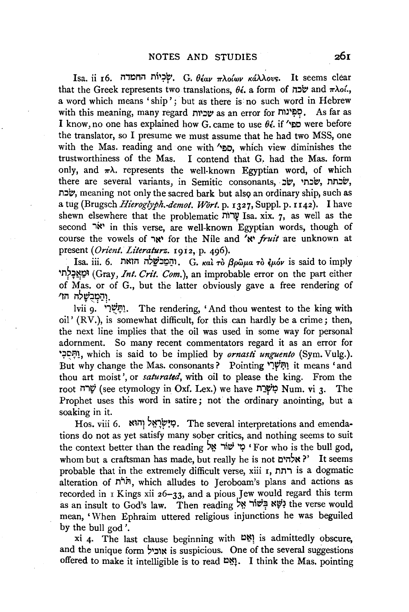Isa. ii 16. שְׂבְיוֹת החמדה, G.  $\theta$ <sub>eav</sub>  $\pi\lambda$ ośw ká $\lambda\lambda$ ovs. It seems clear that the Greek represents two translations,  $\theta_{i}$ , a form of  $\pi$ שׁבה and  $\pi\lambda o_i'$ , a word which means 'ship'; but as there is no such word in Hebrew with this meaning, many regard with as an error for pip. As far as I know, no one has explained how G. came to use  $\theta \epsilon$ . if 'not were before the translator, so I presume we must assume that he had two MSS, one with the Mas. reading and one with 'ספי, which view diminishes the trustworthiness of the Mas. I contend that G.. had the Mas. form only, and  $\pi\lambda$ . represents the well-known Egyptian word, of which there are several variants, in Semitic consonants, שבתי, שלבתי, l'l.:Jb', meaning not only the sacred bark but alsc;> an ordinary ship, such as a tug (Brugsch *Hieroglyph.-demot. Wört.* p. 1327, Suppl. p. 1142). I have shewn elsewhere that the problematic  $\mathcal{V}$  Isa. xix. 7, as well as the second  $\n \ddot{r}$  in this verse, are well-known Egyptian words, though of course the vowels of יאר for the Nile and 'te' *fruit* are unknown at present *(Orient. Literaturz.* 1912, p. 496).

Isa. iii. 6. והַמַּכֹּשֵׁלֹה הואת G. kai Tò  $\beta \rho \hat{\omega} \mu$ a Tò  $\hat{\epsilon} \mu$ óv is said to imply ~n?~~l;l~ (Gray, *Int. Grit. Com.),* an improbable error on the part either of Mas. or of G., but the latter obviously gave a free rendering of 'והַמְבִשָּׁלָה הוֹ

lvii 9. יַתְּשָׁרִי. The rendering, 'And thou wentest to the king with oil' (RV.), is somewhat difficult, for this can hardly be a crime; then, the next line implies that the oil was used in some way for personal adornment. So many recent commentators regard it as an error for ':;JI;:~1, which is said to be implied by *ornasti unguento* (Sym. Vulg.). But why change the Mas. consonants? Pointing 'וְחִשָּׁרִי it means 'and thou art moist', or *saturated,* with oil to please the king. From the root שְׂרָה (see etymology in Oxf. Lex.) we have שְׂרָח Num. vi 3. The Prophet uses this word in satire; not the ordinary anointing, but a soaking in it.

Hos. viii 6. בְּיִשְׂרָאֱל וְהוּא . The several interpretations and emendations do not as yet satisfy many sober critics, and nothing seems to suit the context better than the reading  $\mathbf{v}$   $\mathbf{w}$  '  $\mathbf{v}$  if or who is the bull god, whom but a craftsman has made, but really he is not  $\mathbf{R}^{\prime}$ : אלהים P' It seems probable that in the extremely difficult verse, xiii 1, l'll'li is a dogmatic alteration of חֹרֹת, which alludes to Jeroboam's plans and actions as recorded in 1 Kings xii 26-33, and a pious Jew would regard this term as an insult to God's law. Then reading נְשָׁא בִּשׁוֹר אֵל mean, 'When Ephraim uttered religious injunctions he was beguiled by the bull god '.

xi 4· The last clause beginning with ~~1 is admittedly obscure, and the unique form 'אוביל is suspicious. One of the several suggestions offered to make it intelligible is to read  $\mathbb{Z}^N$ . I think the Mas. pointing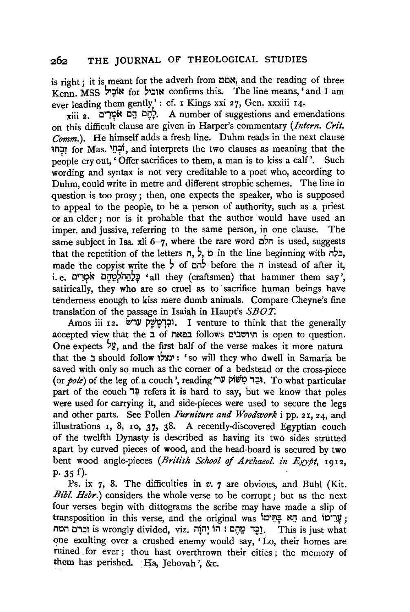is right : it is meant for the adverb from  $D/N$ , and the reading of three  $K$ enn. MSS אוֹבִיל for אוביל confirms this. The line means,  $\epsilon$  and I am ever leading them gently': cf. I Kings xxi 27, Gen. xxxiii 14.

 $xiii$ וֹת הַם אֹמְרִים. A number of suggestions and emendations on this difficull~ clause are given in Harper's commentary *(Intern. Grit. Comm.* ). He himself adds a fresh line. Duhm reads in the next clause lM~l for Mas. IJ~f, and interprets the two clauses as meaning that the people cry out, 'Offer sacrifices to them, a man is to kiss a calf'. Such wording and syntax is not very creditable to a poet who, according to Duhm, could write in metre and different strophic schemes. The line in question is too prosy ; then, one expects the speaker, who is supposed to appeal to the people, to be a person of authority, such as a priest or an elder; nor is it probable that the author would have used an imper. and jussive, referring to the same person, in one clause. The same subject in Isa. xli 6-7, where the rare word  $\vec{c}$  is used, suggests that the repetition of the letters ,  $\frac{1}{2}$ ,  $\frac{1}{2}$  in the line beginning with  $\frac{1}{2}$ , made the copyist write the  $\frac{1}{2}$  of  $\frac{1}{2}$  before the n instead of after it, i. e. בְּלֵהַהֹּלְמֵהֶם אֹמְרִים; •all they (craftsmen) that hammer them say', satirically, they who are so cruel as to sacrifice human beings have tenderness enough to kiss mere dumb animals. Compare Cheyne's fine translation of the passage in Isaiah in Haupt's *SBOT.* 

Amos iii 12. וּבְרְמֵשֵׁק ערשׂוּ. I venture to think that the generally accepted view that the ב of היושבים follows היושבים is open to question. One expects  $\frac{1}{2}$ , and the first half of the verse makes it more natura that the *z* should follow : ינצלו 'so will they who dwell in Samaria be saved with only so much as the corner of a bedstead or the cross-piece (or *pole*) of the leg of a couch', reading "גַּבְר כְּוֹשׁוֹק "13. To what particular part of the couch  $\exists \frac{p}{r}$  refers it is hard to say, but we know that poles were used for carrying it, and side-pieces were used to secure the legs and other parts. See Pollen *Furniture and Woodwork* i pp. 21, 24, and illustrations r, 8, ro, 37, 38. A recently-discovered Egyptian couch of the twelfth Dynasty is described as having its two sides strutted apart by curved pieces of wood, and the head-board is secured by two bent wood angle-pieces *(British School* of *Archaeol. in Egypt,* 1912, p.  $35 f$ ).

Ps. ix 7, 8. The difficulties in *v.* 7 are obvious, and Buhl (Kit. *Bibl. Hebr.*) considers the whole verse to be corrupt; but as the next four verses begin with dittograms the scribe may have made a slip of transposition in this verse, and the original was 'הָא בְּתִּימוּ', in and i וכרם המה is wrongly divided, viz. נְהֶה : הוֹן יְהוֹוָה : This is just what one exulting over a crushed enemy would say, 'Lo, their homes are ruined for ever ; thou hast overthrown their cities ; the memory of them has perished. Ha, Jehovah ', &c.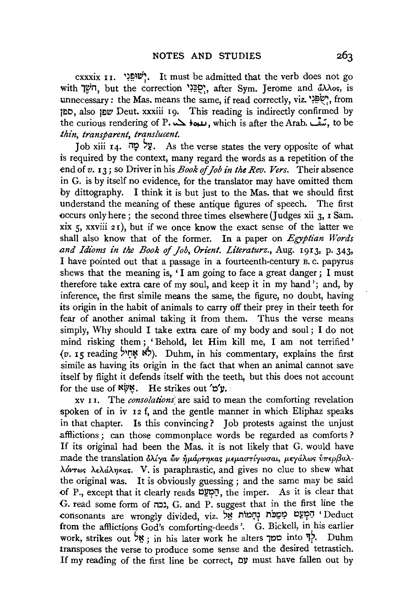cxxxix  $I$ I. "שוּפְנִי". It must be admitted that the verb does not go with יִשְׁלָ, but the correction "פְגָּנִי, after Sym. Jerome and  $\partial\lambda\lambda$ os, is unnecessary: the Mas. means the same, if read correctly, viz. "P", from t~o, also t~W Deut. xxxiii Ig. This reading is indirectly confirmed by the curious rendering of P. سمة بده بالمدون , which is after the Arab. بتعق , to be *thin, transparent, translucent.* 

Job xiii 14. עַל מַה. As the verse states the very opposite of what is required by the context, many regard the words as a repetition of the end of *v.* I 3 ; so Driver in his *Book* of *Job in the Rev. Vers.* Their absence in G. is by itself no evidence, for the translator may have omitted them by dittography. I think it is but just to the Mas. that we should first understand the meaning of these antique figures of speech. The first occurs only here ; the second three times elsewhere (Judges xii 3, I Sam. xix  $\zeta$ , xxviii 2 r), but if we once know the exact sense of the latter we shall also know that of the former. In a paper on *Egyptian Words and Idioms in the Book* of *Job, Orient. Literaturz.,* Aug. I9I3, p. 343, I have pointed out that a passage in a fourteenth-century B. c. papyrus shews that the meaning is, 'I am going to face a great danger; I must therefore take extra care of my soul, and keep it in my hand '; and, by inference, the first simile means the same, the figure, no doubt, having its origin in the habit of animals to carry off their prey in their teeth for fear of another animal taking it from them. Thus the verse means simply, Why should I take extra care of my body and soul; I do not mind risking them ; ' Behold, let Him kill me, I am not terrified '  $(v, 15$  reading  $\forall$ : לא אֲחיל). Duhm, in his commentary, explains the first simile as having its origin in the fact that when an animal cannot save itself by flight it defends itself with the teeth, but this does not account for the use of  $N\psi$ . He strikes out 'o'y.

xv r I. The *consolations:* are said to mean the comforting revelation spoken of in iv 12 f, and the gentle manner in which Eliphaz speaks in that chapter. Is this convincing? Job protests against the unjust afflictions ; can those commonplace words be regarded as comforts? If its original had been the Mas. it is not likely that G. would have made the translation *δλίγα δυ ήμάρτηκας μεμαστίγωσαι, μεγάλως υπερβαλ*λόντως λελάληκας. V. is paraphrastic, and gives no clue to shew what the original was. It is obviously guessing ; and the same may be said of P., except that it clearly reads  $\mathbb{E}[\mathbb{E}(\mathbb{E})]$ , the imper. As it is clear that G. read some form of il:J), G. and P: suggest that in the first line the consonants are wrongly divided, viz. יְהַמְיֹת יִחָמוֹת אֵל from the afflictions God's comforting-deeds'. G. Bickell, in his earlier work, strikes out 'אֵל ; in his later work he alters סמך into 1?. Duhm transposes the verse to produce some sense and the desired tetrastich. If my reading of the first line be correct, 031 must have fallen out by